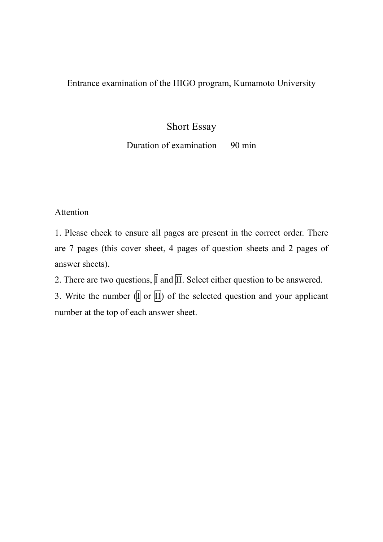# Entrance examination of the HIGO program, Kumamoto University

# Short Essay

# Duration of examination 90 min

### Attention

1. Please check to ensure all pages are present in the correct order. There are 7 pages (this cover sheet, 4 pages of question sheets and 2 pages of answer sheets).

2. There are two questions,  $\overline{\mathbb{I}}$  and  $\overline{\mathbb{II}}$ . Select either question to be answered.

3. Write the number  $(\overline{\mathbb{I}} \text{or } \overline{\mathbb{I}} \text{I})$  of the selected question and your applicant number at the top of each answer sheet.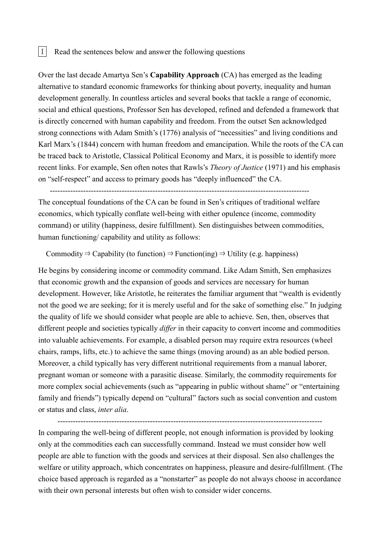### $|I|$  Read the sentences below and answer the following questions

Over the last decade Amartya Sen's **Capability Approach** (CA) has emerged as the leading alternative to standard economic frameworks for thinking about poverty, inequality and human development generally. In countless articles and several books that tackle a range of economic, social and ethical questions, Professor Sen has developed, refined and defended a framework that is directly concerned with human capability and freedom. From the outset Sen acknowledged strong connections with Adam Smith's (1776) analysis of "necessities" and living conditions and Karl Marx's (1844) concern with human freedom and emancipation. While the roots of the CA can be traced back to Aristotle, Classical Political Economy and Marx, it is possible to identify more recent links. For example, Sen often notes that Rawls's *Theory of Justice* (1971) and his emphasis on "self-respect" and access to primary goods has "deeply influenced" the CA.

The conceptual foundations of the CA can be found in Sen's critiques of traditional welfare economics, which typically conflate well-being with either opulence (income, commodity command) or utility (happiness, desire fulfillment). Sen distinguishes between commodities, human functioning/ capability and utility as follows:

-----------------------------------------------------------------------------------------------------

Commodity  $\Rightarrow$  Capability (to function)  $\Rightarrow$  Function(ing)  $\Rightarrow$  Utility (e.g. happiness)

He begins by considering income or commodity command. Like Adam Smith, Sen emphasizes that economic growth and the expansion of goods and services are necessary for human development. However, like Aristotle, he reiterates the familiar argument that "wealth is evidently not the good we are seeking; for it is merely useful and for the sake of something else." In judging the quality of life we should consider what people are able to achieve. Sen, then, observes that different people and societies typically *differ* in their capacity to convert income and commodities into valuable achievements. For example, a disabled person may require extra resources (wheel chairs, ramps, lifts, etc.) to achieve the same things (moving around) as an able bodied person. Moreover, a child typically has very different nutritional requirements from a manual laborer, pregnant woman or someone with a parasitic disease. Similarly, the commodity requirements for more complex social achievements (such as "appearing in public without shame" or "entertaining family and friends") typically depend on "cultural" factors such as social convention and custom or status and class, *inter alia*.

In comparing the well-being of different people, not enough information is provided by looking only at the commodities each can successfully command. Instead we must consider how well people are able to function with the goods and services at their disposal. Sen also challenges the welfare or utility approach, which concentrates on happiness, pleasure and desire-fulfillment. (The choice based approach is regarded as a "nonstarter" as people do not always choose in accordance with their own personal interests but often wish to consider wider concerns.

-------------------------------------------------------------------------------------------------------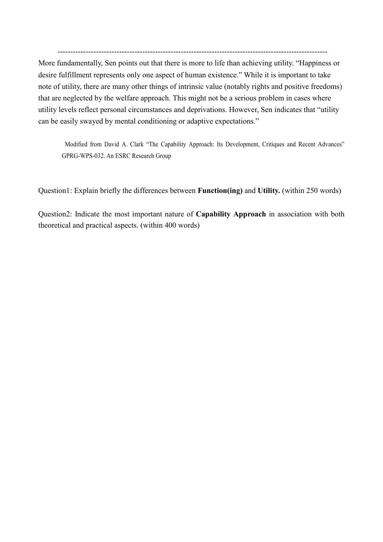--------------------------------------------------------------------------------------------------------- More fundamentally, Sen points out that there is more to life than achieving utility. "Happiness or desire fulfillment represents only one aspect of human existence." While it is important to take note of utility, there are many other things of intrinsic value (notably rights and positive freedoms) that are neglected by the welfare approach. This might not be a serious problem in cases where utility levels reflect personal circumstances and deprivations. However, Sen indicates that "utility can be easily swayed by mental conditioning or adaptive expectations."

Modified from David A. Clark "The Capability Approach: Its Development, Critiques and Recent Advances" GPRG-WPS-032. An ESRC Research Group

Question1: Explain briefly the differences between **Function(ing)** and **Utility.** (within 250 words)

Question2: Indicate the most important nature of **Capability Approach** in association with both theoretical and practical aspects. (within 400 words)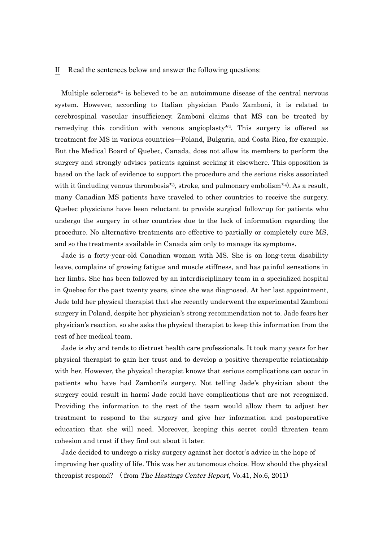#### II Read the sentences below and answer the following questions:

Multiple sclerosis\*<sup>1</sup> is believed to be an autoimmune disease of the central nervous system. However, according to Italian physician Paolo Zamboni, it is related to cerebrospinal vascular insufficiency. Zamboni claims that MS can be treated by remedying this condition with venous angioplasty\*2. This surgery is offered as treatment for MS in various countries―Poland, Bulgaria, and Costa Rica, for example. But the Medical Board of Quebec, Canada, does not allow its members to perform the surgery and strongly advises patients against seeking it elsewhere. This opposition is based on the lack of evidence to support the procedure and the serious risks associated with it (including venous thrombosis<sup>\*3</sup>, stroke, and pulmonary embolism<sup>\*4</sup>). As a result, many Canadian MS patients have traveled to other countries to receive the surgery. Quebec physicians have been reluctant to provide surgical follow-up for patients who undergo the surgery in other countries due to the lack of information regarding the procedure. No alternative treatments are effective to partially or completely cure MS, and so the treatments available in Canada aim only to manage its symptoms.

Jade is a forty-year-old Canadian woman with MS. She is on long-term disability leave, complains of growing fatigue and muscle stiffness, and has painful sensations in her limbs. She has been followed by an interdisciplinary team in a specialized hospital in Quebec for the past twenty years, since she was diagnosed. At her last appointment, Jade told her physical therapist that she recently underwent the experimental Zamboni surgery in Poland, despite her physician's strong recommendation not to. Jade fears her physician's reaction, so she asks the physical therapist to keep this information from the rest of her medical team.

Jade is shy and tends to distrust health care professionals. It took many years for her physical therapist to gain her trust and to develop a positive therapeutic relationship with her. However, the physical therapist knows that serious complications can occur in patients who have had Zamboni's surgery. Not telling Jade's physician about the surgery could result in harm; Jade could have complications that are not recognized. Providing the information to the rest of the team would allow them to adjust her treatment to respond to the surgery and give her information and postoperative education that she will need. Moreover, keeping this secret could threaten team cohesion and trust if they find out about it later.

Jade decided to undergo a risky surgery against her doctor's advice in the hope of improving her quality of life. This was her autonomous choice. How should the physical therapist respond? (from The Hastings Center Report, Vo.41, No.6, 2011)